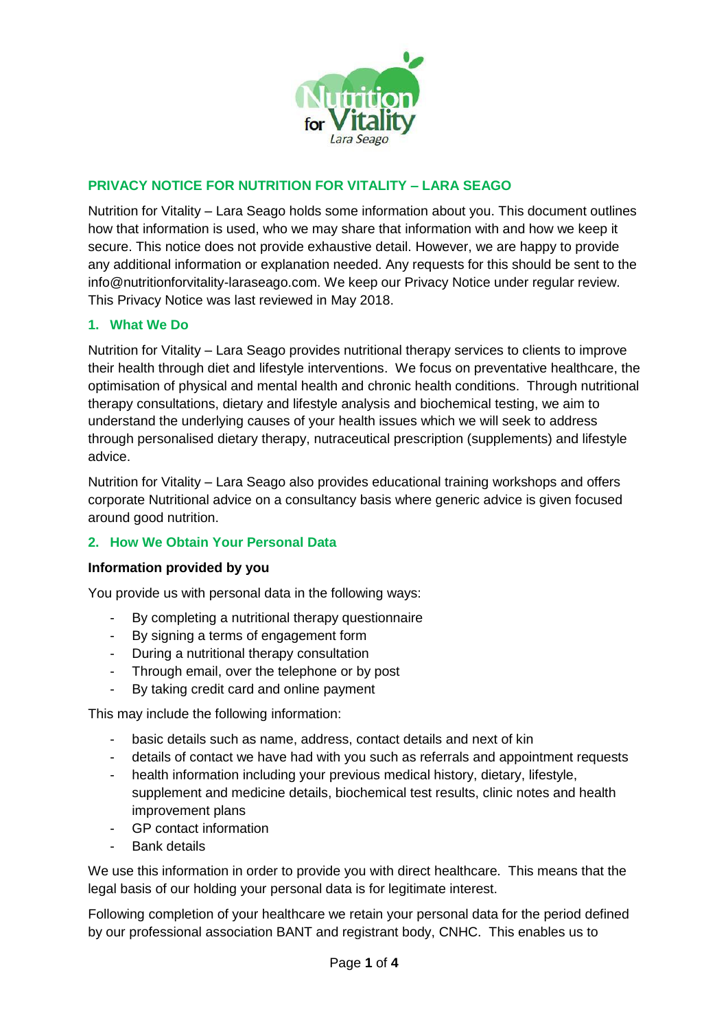

# **PRIVACY NOTICE FOR NUTRITION FOR VITALITY – LARA SEAGO**

Nutrition for Vitality – Lara Seago holds some information about you. This document outlines how that information is used, who we may share that information with and how we keep it secure. This notice does not provide exhaustive detail. However, we are happy to provide any additional information or explanation needed. Any requests for this should be sent to the info@nutritionforvitality-laraseago.com. We keep our Privacy Notice under regular review. This Privacy Notice was last reviewed in May 2018.

## **1. What We Do**

Nutrition for Vitality – Lara Seago provides nutritional therapy services to clients to improve their health through diet and lifestyle interventions. We focus on preventative healthcare, the optimisation of physical and mental health and chronic health conditions. Through nutritional therapy consultations, dietary and lifestyle analysis and biochemical testing, we aim to understand the underlying causes of your health issues which we will seek to address through personalised dietary therapy, nutraceutical prescription (supplements) and lifestyle advice.

Nutrition for Vitality – Lara Seago also provides educational training workshops and offers corporate Nutritional advice on a consultancy basis where generic advice is given focused around good nutrition.

#### **2. How We Obtain Your Personal Data**

#### **Information provided by you**

You provide us with personal data in the following ways:

- By completing a nutritional therapy questionnaire
- By signing a terms of engagement form
- During a nutritional therapy consultation
- Through email, over the telephone or by post
- By taking credit card and online payment

This may include the following information:

- basic details such as name, address, contact details and next of kin
- details of contact we have had with you such as referrals and appointment requests
- health information including your previous medical history, dietary, lifestyle, supplement and medicine details, biochemical test results, clinic notes and health improvement plans
- GP contact information
- Bank details

We use this information in order to provide you with direct healthcare. This means that the legal basis of our holding your personal data is for legitimate interest.

Following completion of your healthcare we retain your personal data for the period defined by our professional association BANT and registrant body, CNHC. This enables us to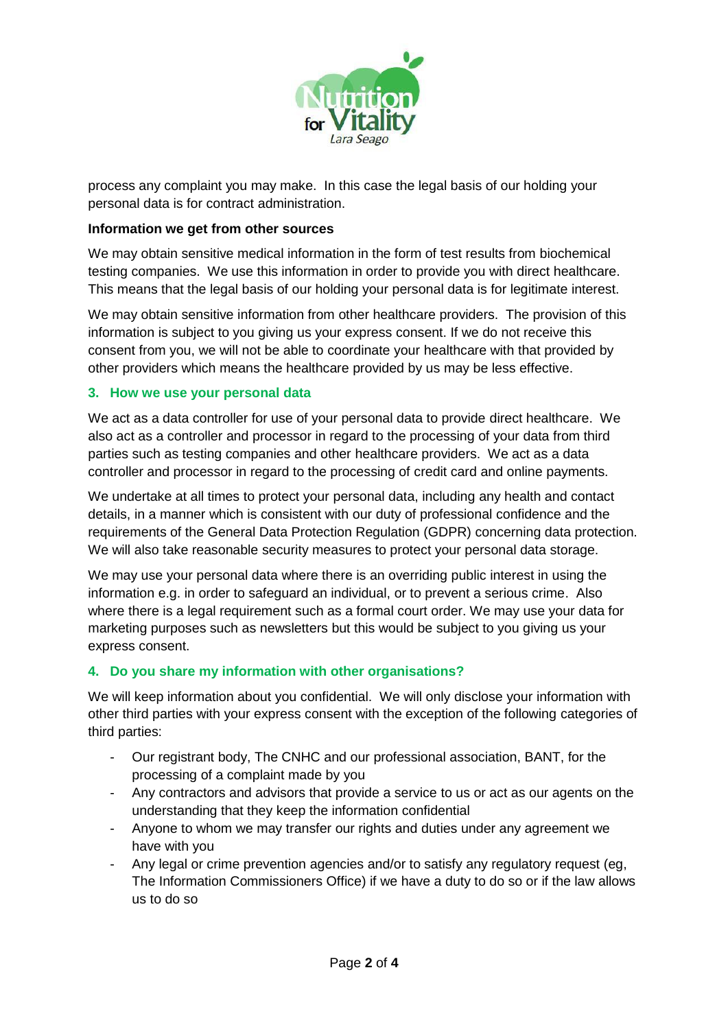

process any complaint you may make. In this case the legal basis of our holding your personal data is for contract administration.

#### **Information we get from other sources**

We may obtain sensitive medical information in the form of test results from biochemical testing companies. We use this information in order to provide you with direct healthcare. This means that the legal basis of our holding your personal data is for legitimate interest.

We may obtain sensitive information from other healthcare providers. The provision of this information is subject to you giving us your express consent. If we do not receive this consent from you, we will not be able to coordinate your healthcare with that provided by other providers which means the healthcare provided by us may be less effective.

#### **3. How we use your personal data**

We act as a data controller for use of your personal data to provide direct healthcare. We also act as a controller and processor in regard to the processing of your data from third parties such as testing companies and other healthcare providers. We act as a data controller and processor in regard to the processing of credit card and online payments.

We undertake at all times to protect your personal data, including any health and contact details, in a manner which is consistent with our duty of professional confidence and the requirements of the General Data Protection Regulation (GDPR) concerning data protection. We will also take reasonable security measures to protect your personal data storage.

We may use your personal data where there is an overriding public interest in using the information e.g. in order to safeguard an individual, or to prevent a serious crime. Also where there is a legal requirement such as a formal court order. We may use your data for marketing purposes such as newsletters but this would be subject to you giving us your express consent.

## **4. Do you share my information with other organisations?**

We will keep information about you confidential. We will only disclose your information with other third parties with your express consent with the exception of the following categories of third parties:

- Our registrant body, The CNHC and our professional association, BANT, for the processing of a complaint made by you
- Any contractors and advisors that provide a service to us or act as our agents on the understanding that they keep the information confidential
- Anyone to whom we may transfer our rights and duties under any agreement we have with you
- Any legal or crime prevention agencies and/or to satisfy any regulatory request (eg, The Information Commissioners Office) if we have a duty to do so or if the law allows us to do so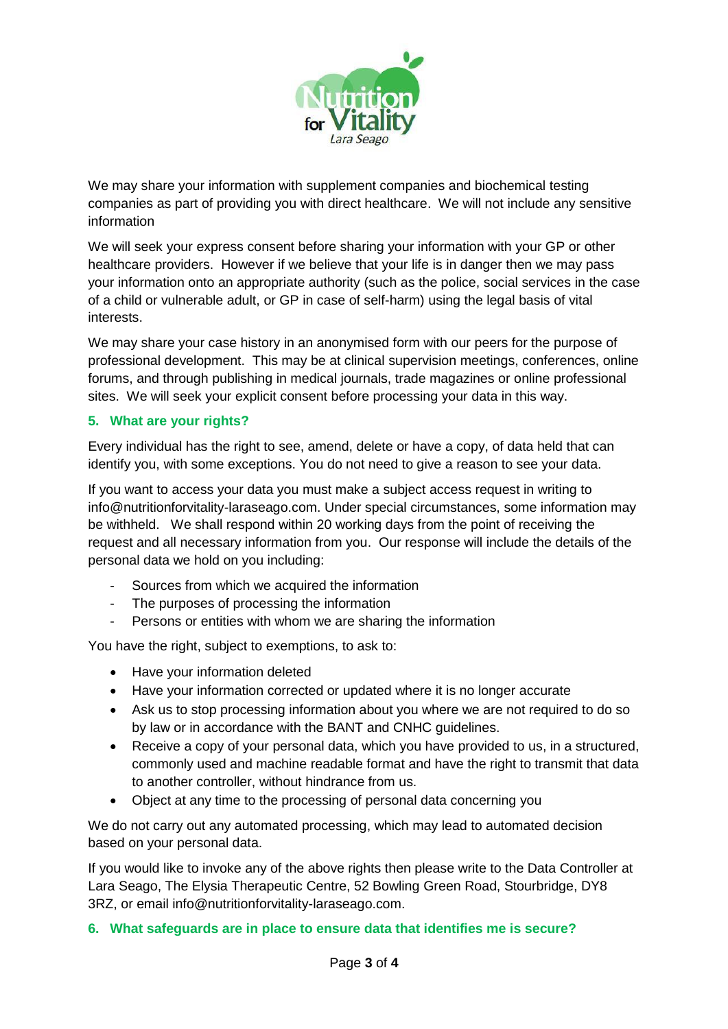

We may share your information with supplement companies and biochemical testing companies as part of providing you with direct healthcare. We will not include any sensitive information

We will seek your express consent before sharing your information with your GP or other healthcare providers. However if we believe that your life is in danger then we may pass your information onto an appropriate authority (such as the police, social services in the case of a child or vulnerable adult, or GP in case of self-harm) using the legal basis of vital interests.

We may share your case history in an anonymised form with our peers for the purpose of professional development. This may be at clinical supervision meetings, conferences, online forums, and through publishing in medical journals, trade magazines or online professional sites. We will seek your explicit consent before processing your data in this way.

## **5. What are your rights?**

Every individual has the right to see, amend, delete or have a copy, of data held that can identify you, with some exceptions. You do not need to give a reason to see your data.

If you want to access your data you must make a subject access request in writing to info@nutritionforvitality-laraseago.com. Under special circumstances, some information may be withheld. We shall respond within 20 working days from the point of receiving the request and all necessary information from you. Our response will include the details of the personal data we hold on you including:

- Sources from which we acquired the information
- The purposes of processing the information
- Persons or entities with whom we are sharing the information

You have the right, subject to exemptions, to ask to:

- Have your information deleted
- Have your information corrected or updated where it is no longer accurate
- Ask us to stop processing information about you where we are not required to do so by law or in accordance with the BANT and CNHC guidelines.
- Receive a copy of your personal data, which you have provided to us, in a structured, commonly used and machine readable format and have the right to transmit that data to another controller, without hindrance from us.
- Object at any time to the processing of personal data concerning you

We do not carry out any automated processing, which may lead to automated decision based on your personal data.

If you would like to invoke any of the above rights then please write to the Data Controller at Lara Seago, The Elysia Therapeutic Centre, 52 Bowling Green Road, Stourbridge, DY8 3RZ, or email info@nutritionforvitality-laraseago.com.

#### **6. What safeguards are in place to ensure data that identifies me is secure?**